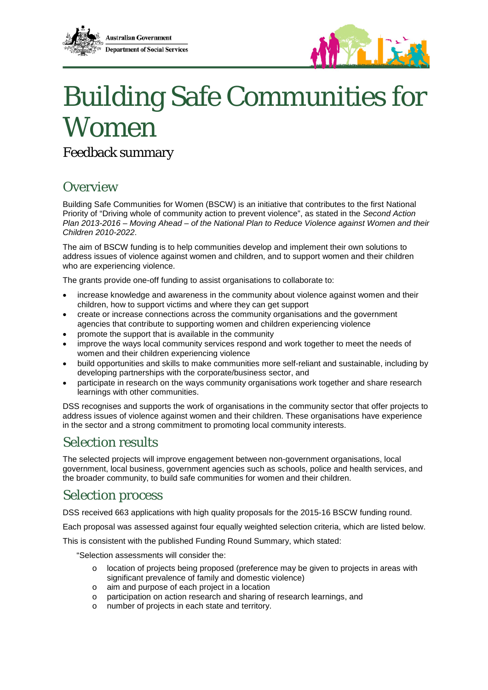



# Building Safe Communities for Women

Feedback summary

# **Overview**

Building Safe Communities for Women (BSCW) is an initiative that contributes to the first National Priority of "Driving whole of community action to prevent violence", as stated in the *Second Action Plan 2013-2016 – Moving Ahead – of the National Plan to Reduce Violence against Women and their Children 2010-2022*.

The aim of BSCW funding is to help communities develop and implement their own solutions to address issues of violence against women and children, and to support women and their children who are experiencing violence.

The grants provide one-off funding to assist organisations to collaborate to:

- increase knowledge and awareness in the community about violence against women and their children, how to support victims and where they can get support
- create or increase connections across the community organisations and the government agencies that contribute to supporting women and children experiencing violence
- promote the support that is available in the community
- improve the ways local community services respond and work together to meet the needs of women and their children experiencing violence
- build opportunities and skills to make communities more self-reliant and sustainable, including by developing partnerships with the corporate/business sector, and
- participate in research on the ways community organisations work together and share research learnings with other communities.

DSS recognises and supports the work of organisations in the community sector that offer projects to address issues of violence against women and their children. These organisations have experience in the sector and a strong commitment to promoting local community interests.

# Selection results

The selected projects will improve engagement between non-government organisations, local government, local business, government agencies such as schools, police and health services, and the broader community, to build safe communities for women and their children.

# Selection process

DSS received 663 applications with high quality proposals for the 2015-16 BSCW funding round.

Each proposal was assessed against four equally weighted selection criteria, which are listed below.

This is consistent with the published Funding Round Summary, which stated:

"Selection assessments will consider the:

- o location of projects being proposed (preference may be given to projects in areas with significant prevalence of family and domestic violence)
- o aim and purpose of each project in a location
- o participation on action research and sharing of research learnings, and o number of projects in each state and territory.
- number of projects in each state and territory.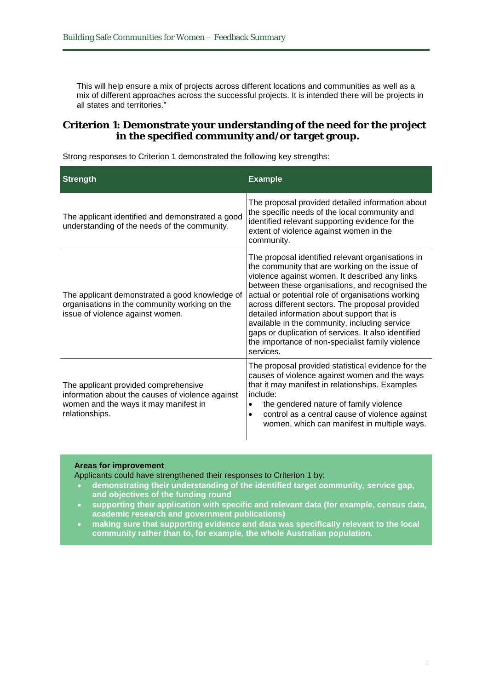This will help ensure a mix of projects across different locations and communities as well as a mix of different approaches across the successful projects. It is intended there will be projects in all states and territories."

### **Criterion 1: Demonstrate your understanding of the need for the project in the specified community and/or target group.**

Strong responses to Criterion 1 demonstrated the following key strengths:

| <b>Strength</b>                                                                                                                                     | <b>Example</b>                                                                                                                                                                                                                                                                                                                                                                                                                                                                                                                          |
|-----------------------------------------------------------------------------------------------------------------------------------------------------|-----------------------------------------------------------------------------------------------------------------------------------------------------------------------------------------------------------------------------------------------------------------------------------------------------------------------------------------------------------------------------------------------------------------------------------------------------------------------------------------------------------------------------------------|
| The applicant identified and demonstrated a good<br>understanding of the needs of the community.                                                    | The proposal provided detailed information about<br>the specific needs of the local community and<br>identified relevant supporting evidence for the<br>extent of violence against women in the<br>community.                                                                                                                                                                                                                                                                                                                           |
| The applicant demonstrated a good knowledge of<br>organisations in the community working on the<br>issue of violence against women.                 | The proposal identified relevant organisations in<br>the community that are working on the issue of<br>violence against women. It described any links<br>between these organisations, and recognised the<br>actual or potential role of organisations working<br>across different sectors. The proposal provided<br>detailed information about support that is<br>available in the community, including service<br>gaps or duplication of services. It also identified<br>the importance of non-specialist family violence<br>services. |
| The applicant provided comprehensive<br>information about the causes of violence against<br>women and the ways it may manifest in<br>relationships. | The proposal provided statistical evidence for the<br>causes of violence against women and the ways<br>that it may manifest in relationships. Examples<br>include:<br>the gendered nature of family violence<br>$\bullet$<br>control as a central cause of violence against<br>$\bullet$<br>women, which can manifest in multiple ways.                                                                                                                                                                                                 |

#### **Areas for improvement**

Applicants could have strengthened their responses to Criterion 1 by:

- **demonstrating their understanding of the identified target community, service gap, and objectives of the funding round**
- **supporting their application with specific and relevant data (for example, census data, academic research and government publications)**
- **making sure that supporting evidence and data was specifically relevant to the local community rather than to, for example, the whole Australian population.**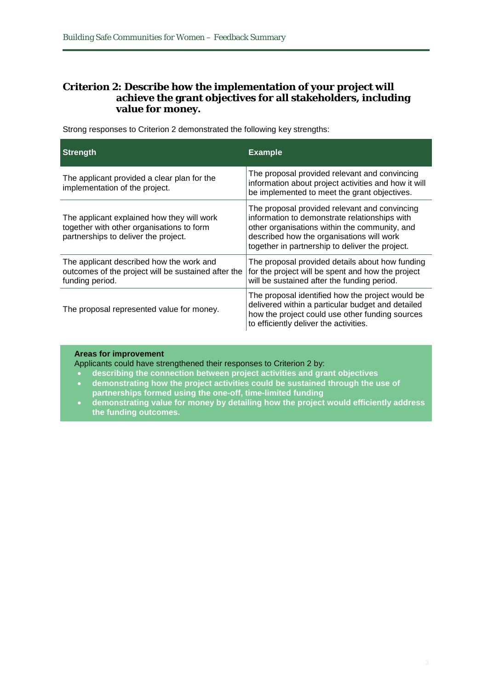## **Criterion 2: Describe how the implementation of your project will achieve the grant objectives for all stakeholders, including value for money.**

| <b>Strength</b>                                                                                                                 | <b>Example</b>                                                                                                                                                                                                                                  |
|---------------------------------------------------------------------------------------------------------------------------------|-------------------------------------------------------------------------------------------------------------------------------------------------------------------------------------------------------------------------------------------------|
| The applicant provided a clear plan for the<br>implementation of the project.                                                   | The proposal provided relevant and convincing<br>information about project activities and how it will<br>be implemented to meet the grant objectives.                                                                                           |
| The applicant explained how they will work<br>together with other organisations to form<br>partnerships to deliver the project. | The proposal provided relevant and convincing<br>information to demonstrate relationships with<br>other organisations within the community, and<br>described how the organisations will work<br>together in partnership to deliver the project. |
| The applicant described how the work and<br>outcomes of the project will be sustained after the<br>funding period.              | The proposal provided details about how funding<br>for the project will be spent and how the project<br>will be sustained after the funding period.                                                                                             |
| The proposal represented value for money.                                                                                       | The proposal identified how the project would be<br>delivered within a particular budget and detailed<br>how the project could use other funding sources<br>to efficiently deliver the activities.                                              |

Strong responses to Criterion 2 demonstrated the following key strengths:

#### **Areas for improvement**

Applicants could have strengthened their responses to Criterion 2 by:

- **describing the connection between project activities and grant objectives**
- **demonstrating how the project activities could be sustained through the use of partnerships formed using the one-off, time-limited funding**
- **demonstrating value for money by detailing how the project would efficiently address the funding outcomes.**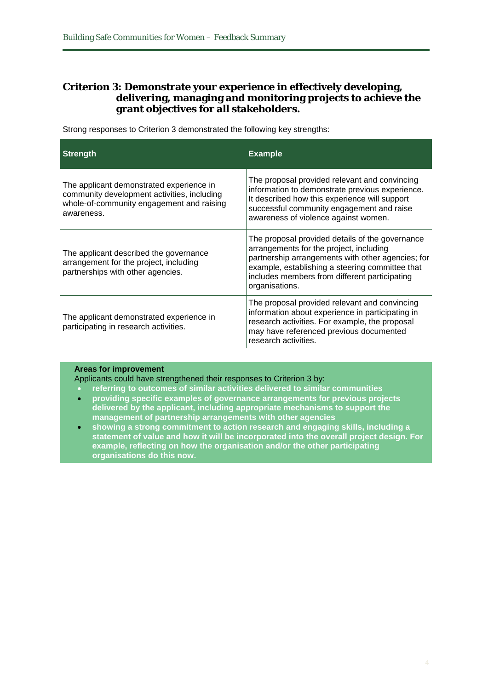## **Criterion 3: Demonstrate your experience in effectively developing, delivering, managing and monitoring projects to achieve the grant objectives for all stakeholders.**

Strong responses to Criterion 3 demonstrated the following key strengths:

| <b>Strength</b>                                                                                                                                    | <b>Example</b>                                                                                                                                                                                                                                                        |
|----------------------------------------------------------------------------------------------------------------------------------------------------|-----------------------------------------------------------------------------------------------------------------------------------------------------------------------------------------------------------------------------------------------------------------------|
| The applicant demonstrated experience in<br>community development activities, including<br>whole-of-community engagement and raising<br>awareness. | The proposal provided relevant and convincing<br>information to demonstrate previous experience.<br>It described how this experience will support<br>successful community engagement and raise<br>awareness of violence against women.                                |
| The applicant described the governance<br>arrangement for the project, including<br>partnerships with other agencies.                              | The proposal provided details of the governance<br>arrangements for the project, including<br>partnership arrangements with other agencies; for<br>example, establishing a steering committee that<br>includes members from different participating<br>organisations. |
| The applicant demonstrated experience in<br>participating in research activities.                                                                  | The proposal provided relevant and convincing<br>information about experience in participating in<br>research activities. For example, the proposal<br>may have referenced previous documented<br>research activities.                                                |

#### **Areas for improvement**

Applicants could have strengthened their responses to Criterion 3 by:

- **referring to outcomes of similar activities delivered to similar communities**
- **providing specific examples of governance arrangements for previous projects delivered by the applicant, including appropriate mechanisms to support the management of partnership arrangements with other agencies**
- **showing a strong commitment to action research and engaging skills, including a statement of value and how it will be incorporated into the overall project design. For example, reflecting on how the organisation and/or the other participating organisations do this now.**